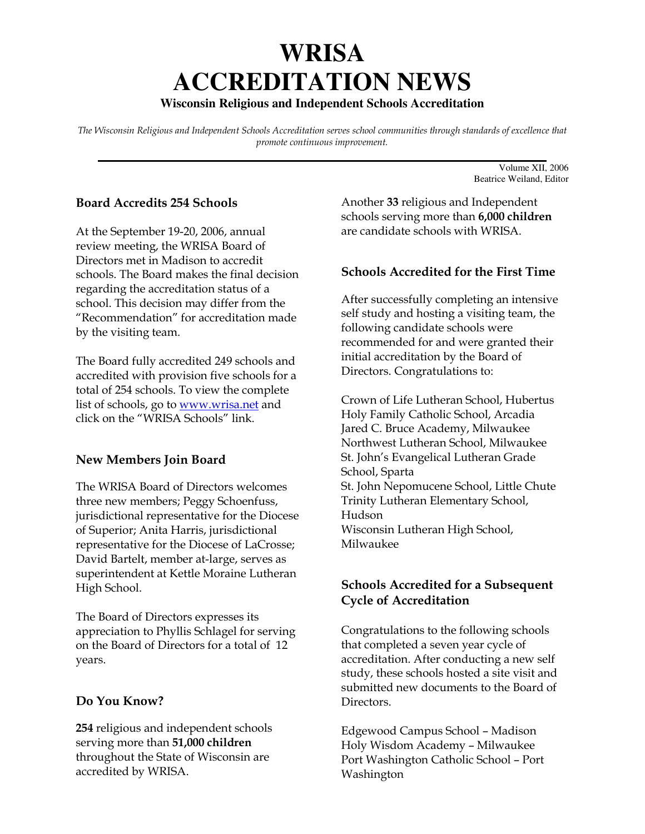# **WRISA ACCREDITATION NEWS**

## **Wisconsin Religious and Independent Schools Accreditation**

The Wisconsin Religious and Independent Schools Accreditation serves school communities through standards of excellence that promote continuous improvement. **\_\_\_\_\_\_\_\_\_\_\_\_\_\_\_\_\_\_\_\_\_\_\_\_\_\_\_\_\_\_\_\_\_\_\_\_\_\_\_\_\_\_\_\_\_\_\_\_\_\_\_\_\_\_\_\_\_\_\_\_\_\_\_\_\_\_\_\_\_\_\_**

### Board Accredits 254 Schools

At the September 19-20, 2006, annual review meeting, the WRISA Board of Directors met in Madison to accredit schools. The Board makes the final decision regarding the accreditation status of a school. This decision may differ from the "Recommendation" for accreditation made by the visiting team.

The Board fully accredited 249 schools and accredited with provision five schools for a total of 254 schools. To view the complete list of schools, go to www.wrisa.net and click on the "WRISA Schools" link.

### New Members Join Board

The WRISA Board of Directors welcomes three new members; Peggy Schoenfuss, jurisdictional representative for the Diocese of Superior; Anita Harris, jurisdictional representative for the Diocese of LaCrosse; David Bartelt, member at-large, serves as superintendent at Kettle Moraine Lutheran High School.

The Board of Directors expresses its appreciation to Phyllis Schlagel for serving on the Board of Directors for a total of 12 years.

### Do You Know?

254 religious and independent schools serving more than 51,000 children throughout the State of Wisconsin are accredited by WRISA.

Another 33 religious and Independent schools serving more than 6,000 children are candidate schools with WRISA.

Volume XII, 2006 Beatrice Weiland, Editor

#### Schools Accredited for the First Time

After successfully completing an intensive self study and hosting a visiting team, the following candidate schools were recommended for and were granted their initial accreditation by the Board of Directors. Congratulations to:

Crown of Life Lutheran School, Hubertus Holy Family Catholic School, Arcadia Jared C. Bruce Academy, Milwaukee Northwest Lutheran School, Milwaukee St. John's Evangelical Lutheran Grade School, Sparta St. John Nepomucene School, Little Chute Trinity Lutheran Elementary School, Hudson Wisconsin Lutheran High School, Milwaukee

## Schools Accredited for a Subsequent Cycle of Accreditation

Congratulations to the following schools that completed a seven year cycle of accreditation. After conducting a new self study, these schools hosted a site visit and submitted new documents to the Board of Directors.

Edgewood Campus School – Madison Holy Wisdom Academy – Milwaukee Port Washington Catholic School – Port Washington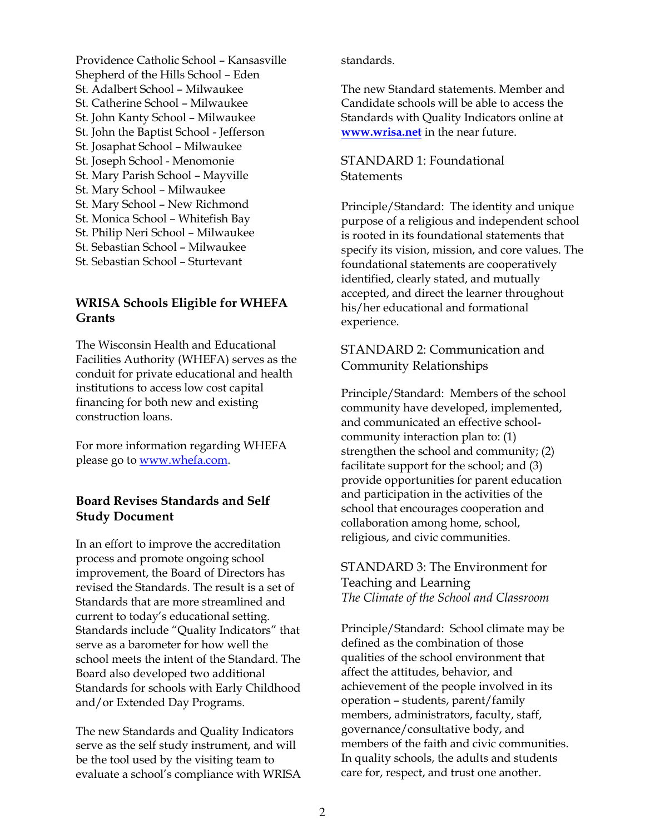Providence Catholic School – Kansasville Shepherd of the Hills School – Eden St. Adalbert School – Milwaukee St. Catherine School – Milwaukee St. John Kanty School – Milwaukee St. John the Baptist School - Jefferson St. Josaphat School – Milwaukee St. Joseph School - Menomonie St. Mary Parish School – Mayville St. Mary School – Milwaukee St. Mary School – New Richmond St. Monica School – Whitefish Bay St. Philip Neri School – Milwaukee St. Sebastian School – Milwaukee St. Sebastian School – Sturtevant

## WRISA Schools Eligible for WHEFA **Grants**

The Wisconsin Health and Educational Facilities Authority (WHEFA) serves as the conduit for private educational and health institutions to access low cost capital financing for both new and existing construction loans.

For more information regarding WHEFA please go to www.whefa.com.

## Board Revises Standards and Self Study Document

In an effort to improve the accreditation process and promote ongoing school improvement, the Board of Directors has revised the Standards. The result is a set of Standards that are more streamlined and current to today's educational setting. Standards include "Quality Indicators" that serve as a barometer for how well the school meets the intent of the Standard. The Board also developed two additional Standards for schools with Early Childhood and/or Extended Day Programs.

The new Standards and Quality Indicators serve as the self study instrument, and will be the tool used by the visiting team to evaluate a school's compliance with WRISA standards.

The new Standard statements. Member and Candidate schools will be able to access the Standards with Quality Indicators online at www.wrisa.net in the near future.

## STANDARD 1: Foundational **Statements**

Principle/Standard: The identity and unique purpose of a religious and independent school is rooted in its foundational statements that specify its vision, mission, and core values. The foundational statements are cooperatively identified, clearly stated, and mutually accepted, and direct the learner throughout his/her educational and formational experience.

## STANDARD 2: Communication and Community Relationships

Principle/Standard: Members of the school community have developed, implemented, and communicated an effective schoolcommunity interaction plan to: (1) strengthen the school and community; (2) facilitate support for the school; and (3) provide opportunities for parent education and participation in the activities of the school that encourages cooperation and collaboration among home, school, religious, and civic communities.

## STANDARD 3: The Environment for Teaching and Learning The Climate of the School and Classroom

Principle/Standard: School climate may be defined as the combination of those qualities of the school environment that affect the attitudes, behavior, and achievement of the people involved in its operation – students, parent/family members, administrators, faculty, staff, governance/consultative body, and members of the faith and civic communities. In quality schools, the adults and students care for, respect, and trust one another.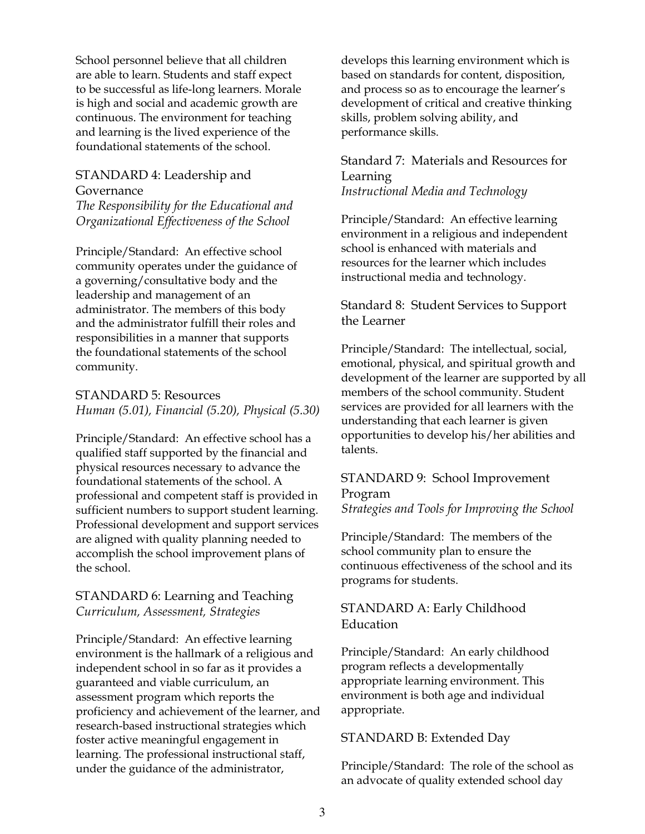School personnel believe that all children are able to learn. Students and staff expect to be successful as life-long learners. Morale is high and social and academic growth are continuous. The environment for teaching and learning is the lived experience of the foundational statements of the school.

## STANDARD 4: Leadership and Governance

The Responsibility for the Educational and Organizational Effectiveness of the School

Principle/Standard: An effective school community operates under the guidance of a governing/consultative body and the leadership and management of an administrator. The members of this body and the administrator fulfill their roles and responsibilities in a manner that supports the foundational statements of the school community.

## STANDARD 5: Resources Human (5.01), Financial (5.20), Physical (5.30)

Principle/Standard: An effective school has a qualified staff supported by the financial and physical resources necessary to advance the foundational statements of the school. A professional and competent staff is provided in sufficient numbers to support student learning. Professional development and support services are aligned with quality planning needed to accomplish the school improvement plans of the school.

## STANDARD 6: Learning and Teaching Curriculum, Assessment, Strategies

Principle/Standard: An effective learning environment is the hallmark of a religious and independent school in so far as it provides a guaranteed and viable curriculum, an assessment program which reports the proficiency and achievement of the learner, and research-based instructional strategies which foster active meaningful engagement in learning. The professional instructional staff, under the guidance of the administrator,

develops this learning environment which is based on standards for content, disposition, and process so as to encourage the learner's development of critical and creative thinking skills, problem solving ability, and performance skills.

## Standard 7: Materials and Resources for Learning Instructional Media and Technology

Principle/Standard: An effective learning environment in a religious and independent school is enhanced with materials and resources for the learner which includes instructional media and technology.

## Standard 8: Student Services to Support the Learner

Principle/Standard: The intellectual, social, emotional, physical, and spiritual growth and development of the learner are supported by all members of the school community. Student services are provided for all learners with the understanding that each learner is given opportunities to develop his/her abilities and talents.

## STANDARD 9: School Improvement Program

Strategies and Tools for Improving the School

Principle/Standard: The members of the school community plan to ensure the continuous effectiveness of the school and its programs for students.

## STANDARD A: Early Childhood Education

Principle/Standard: An early childhood program reflects a developmentally appropriate learning environment. This environment is both age and individual appropriate.

### STANDARD B: Extended Day

Principle/Standard: The role of the school as an advocate of quality extended school day